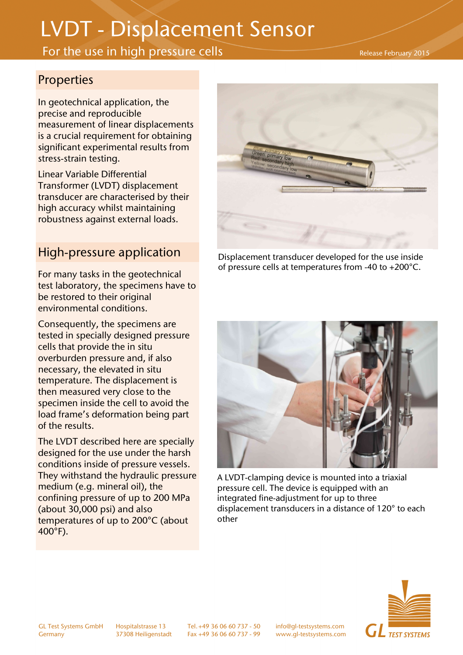# LVDT - Displacement Sensor

## For the use in high pressure cells

#### Release February 2015

### Properties

In geotechnical application, the precise and reproducible measurement of linear displacements is a crucial requirement for obtaining significant experimental results from stress-strain testing.

Linear Variable Differential Transformer (LVDT) displacement transducer are characterised by their high accuracy whilst maintaining robustness against external loads.

## High-pressure application

For many tasks in the geotechnical test laboratory, the specimens have to be restored to their original environmental conditions.

Consequently, the specimens are tested in specially designed pressure cells that provide the in situ overburden pressure and, if also necessary, the elevated in situ temperature. The displacement is then measured very close to the specimen inside the cell to avoid the load frame's deformation being part of the results.

The LVDT described here are specially designed for the use under the harsh conditions inside of pressure vessels. They withstand the hydraulic pressure medium (e.g. mineral oil), the confining pressure of up to 200 MPa (about 30,000 psi) and also temperatures of up to 200°C (about 400°F).



Displacement transducer developed for the use inside of pressure cells at temperatures from -40 to +200°C.



A LVDT-clamping device is mounted into a triaxial pressure cell. The device is equipped with an integrated fine-adjustment for up to three displacement transducers in a distance of 120° to each other



GL Test Systems GmbH Hospitalstrasse 13 Tel. +49 36 06 60 737 - 50 info@gl-testsystems.com

Germany 37308 Heiligenstadt Fax +49 36 06 60 737 - 99 www.gl-testsystems.com